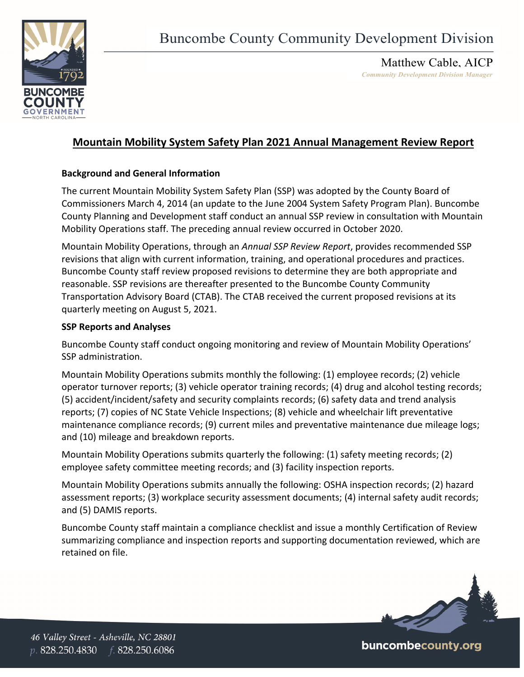

Matthew Cable, AICP *Community Development Division Manager* 

## **Mountain Mobility System Safety Plan 2021 Annual Management Review Report**

## **Background and General Information**

The current Mountain Mobility System Safety Plan (SSP) was adopted by the County Board of Commissioners March 4, 2014 (an update to the June 2004 System Safety Program Plan). Buncombe County Planning and Development staff conduct an annual SSP review in consultation with Mountain Mobility Operations staff. The preceding annual review occurred in October 2020.

Mountain Mobility Operations, through an *Annual SSP Review Report*, provides recommended SSP revisions that align with current information, training, and operational procedures and practices. Buncombe County staff review proposed revisions to determine they are both appropriate and reasonable. SSP revisions are thereafter presented to the Buncombe County Community Transportation Advisory Board (CTAB). The CTAB received the current proposed revisions at its quarterly meeting on August 5, 2021.

## **SSP Reports and Analyses**

Buncombe County staff conduct ongoing monitoring and review of Mountain Mobility Operations' SSP administration.

Mountain Mobility Operations submits monthly the following: (1) employee records; (2) vehicle operator turnover reports; (3) vehicle operator training records; (4) drug and alcohol testing records; (5) accident/incident/safety and security complaints records; (6) safety data and trend analysis reports; (7) copies of NC State Vehicle Inspections; (8) vehicle and wheelchair lift preventative maintenance compliance records; (9) current miles and preventative maintenance due mileage logs; and (10) mileage and breakdown reports.

Mountain Mobility Operations submits quarterly the following: (1) safety meeting records; (2) employee safety committee meeting records; and (3) facility inspection reports.

Mountain Mobility Operations submits annually the following: OSHA inspection records; (2) hazard assessment reports; (3) workplace security assessment documents; (4) internal safety audit records; and (5) DAMIS reports.

Buncombe County staff maintain a compliance checklist and issue a monthly Certification of Review summarizing compliance and inspection reports and supporting documentation reviewed, which are retained on file.



buncombecounty.org